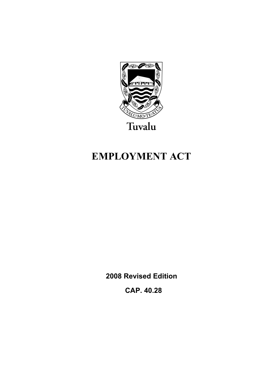

# **EMPLOYMENT ACT**

**2008 Revised Edition** 

 **CAP. 40.28**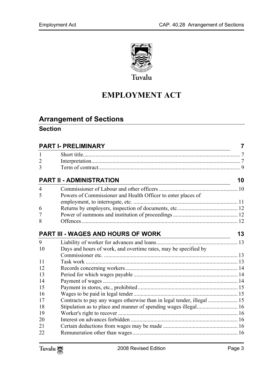

# **EMPLOYMENT ACT**

# **Arrange[ment of Sections](#page-6-1)**

# **Section**

| <b>PART I- PRELIMINARY</b> |                                                                 |    |
|----------------------------|-----------------------------------------------------------------|----|
|                            |                                                                 |    |
| 2                          |                                                                 |    |
| 3                          |                                                                 |    |
|                            | <b>PART II - ADMINISTRATION</b>                                 | 10 |
| $\overline{4}$             |                                                                 |    |
| 5                          | Powers of Commissioner and Health Officer to enter places of    |    |
| 6                          |                                                                 |    |
| 7                          |                                                                 |    |
| 8                          |                                                                 |    |
|                            | <b>PART III - WAGES AND HOURS OF WORK</b>                       | 13 |
| 9                          |                                                                 |    |
| 10                         | Days and hours of work, and overtime rates, may be specified by |    |
| 11                         |                                                                 |    |
| 12                         |                                                                 |    |
| 13                         |                                                                 |    |
| 14                         |                                                                 |    |
| 15                         |                                                                 |    |
| 16                         |                                                                 |    |
| 17                         |                                                                 |    |
| 18                         |                                                                 |    |
| 19                         |                                                                 |    |
| 20                         |                                                                 |    |
| 21<br>22                   |                                                                 |    |

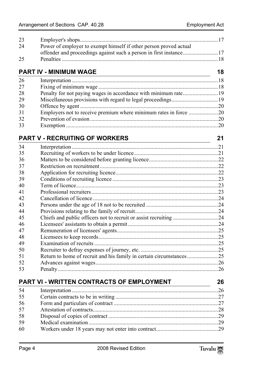| 23 |                                                                     |    |
|----|---------------------------------------------------------------------|----|
| 24 | Power of employer to exempt himself if other person proved actual   |    |
|    | offender and proceedings against such a person in first instance17  |    |
| 25 |                                                                     |    |
|    | <b>PART IV - MINIMUM WAGE</b>                                       | 18 |
| 26 |                                                                     |    |
| 27 |                                                                     |    |
| 28 | Penalty for not paying wages in accordance with minimum rate19      |    |
| 29 |                                                                     |    |
| 30 |                                                                     |    |
| 31 | Employers not to receive premium where minimum rates in force 20    |    |
| 32 |                                                                     |    |
| 33 |                                                                     |    |
|    | <b>PART V - RECRUITING OF WORKERS</b>                               | 21 |
| 34 |                                                                     |    |
| 35 |                                                                     |    |
| 36 |                                                                     |    |
| 37 |                                                                     |    |
| 38 |                                                                     |    |
| 39 |                                                                     |    |
| 40 |                                                                     |    |
| 41 |                                                                     |    |
| 42 |                                                                     |    |
| 43 |                                                                     |    |
| 44 |                                                                     |    |
| 45 |                                                                     |    |
| 46 |                                                                     |    |
| 47 |                                                                     |    |
| 48 |                                                                     |    |
| 49 |                                                                     |    |
| 50 |                                                                     |    |
| 51 | Return to home of recruit and his family in certain circumstances25 |    |
| 52 |                                                                     |    |
| 53 |                                                                     |    |
|    |                                                                     |    |

# **PART VI - [WRITTEN CONTRACTS OF EMPLOYMENT 26](#page-28-0)**

| 54 |  |
|----|--|
| 55 |  |
| 56 |  |
| 57 |  |
| 58 |  |
| 59 |  |
| 60 |  |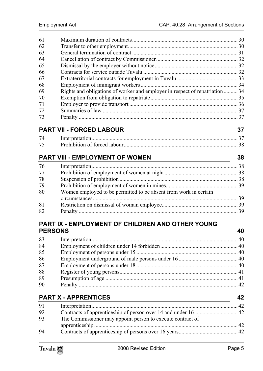| 61 |                                                                              |  |
|----|------------------------------------------------------------------------------|--|
| 62 |                                                                              |  |
| 63 |                                                                              |  |
| 64 |                                                                              |  |
| 65 |                                                                              |  |
| 66 |                                                                              |  |
| 67 |                                                                              |  |
| 68 |                                                                              |  |
| 69 | Rights and obligations of worker and employer in respect of repatriation  34 |  |
| 70 |                                                                              |  |
| 71 |                                                                              |  |
| 72 |                                                                              |  |
| 73 |                                                                              |  |

# **PART VII - [FORCED LABOUR 37](#page-37-2)**

| 74 |  |
|----|--|
| 75 |  |

# **PART VIII - [EMPLOYMENT OF WOMEN 38](#page-38-0)**

| 76 |                                                                  |  |
|----|------------------------------------------------------------------|--|
| 77 |                                                                  |  |
| 78 |                                                                  |  |
| 79 |                                                                  |  |
| 80 | Women employed to be permitted to be absent from work in certain |  |
|    |                                                                  |  |
| 81 |                                                                  |  |
| 82 |                                                                  |  |

# **PART IX - [EMPLOYMENT OF CHILDREN AND OTHER YOUNG](#page-39-4)  PERSONS [40](#page-39-5)**

| 83 |  |
|----|--|
| 84 |  |
| 85 |  |
| 86 |  |
| 87 |  |
| 88 |  |
| 89 |  |
| 90 |  |
|    |  |

# **PART X - A[PPRENTICES 42](#page-41-5)**

| 91                                                               |            |
|------------------------------------------------------------------|------------|
| 92                                                               |            |
| The Commissioner may appoint person to execute contract of<br>93 |            |
|                                                                  | $\Delta$ 2 |
| 94                                                               |            |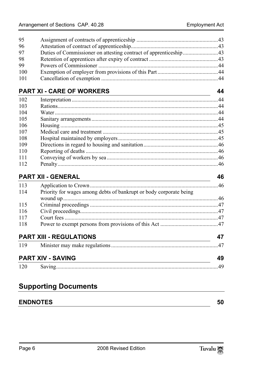| Duties of Commissioner on attesting contract of apprenticeship43 |
|------------------------------------------------------------------|

# **PART XI - [CARE OF WORKERS 44](#page-44-0)**

| 102 |  |
|-----|--|
| 103 |  |
| 104 |  |
| 105 |  |
| 106 |  |
| 107 |  |
| 108 |  |
| 109 |  |
| 110 |  |
| 111 |  |
| 112 |  |

# **PART XII - [GENERAL 46](#page-46-1)**

| 113 |                                                                    |    |
|-----|--------------------------------------------------------------------|----|
| 114 | Priority for wages among debts of bankrupt or body corporate being |    |
|     |                                                                    |    |
| 115 |                                                                    |    |
| 116 |                                                                    |    |
| 117 |                                                                    |    |
| 118 |                                                                    |    |
|     | <b>PART XIII - REGULATIONS</b>                                     | 47 |
|     |                                                                    |    |
|     | <b>PART XIV - SAVING</b>                                           | 49 |

# **Supporting Documents**

# **ENDNOTES 50**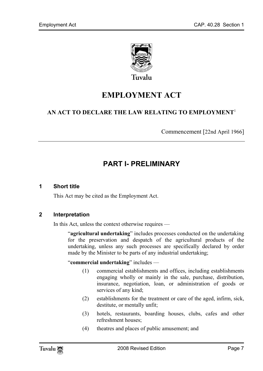

**EMPLOYMENT ACT** 

# **AN ACT TO DECLARE THE LAW RELATING TO EMPLOYMENT**<sup>1</sup>

<span id="page-6-0"></span>Commencement [22nd April 1966]

# <span id="page-6-1"></span>**PART I- PRELIMINARY**

### **1 Short title**

This Act may be cited as the Employment Act.

# **2 Interpretation**

In this Act, unless the context otherwise requires —

"**agricultural undertaking**" includes processes conducted on the undertaking for the preservation and despatch of the agricultural products of the undertaking, unless any such processes are specifically declared by order made by the Minister to be parts of any industrial undertaking;

#### "**commercial undertaking**" includes —

- (1) commercial establishments and offices, including establishments engaging wholly or mainly in the sale, purchase, distribution, insurance, negotiation, loan, or administration of goods or services of any kind;
- (2) establishments for the treatment or care of the aged, infirm, sick, destitute, or mentally unfit;
- (3) hotels, restaurants, boarding houses, clubs, cafes and other refreshment houses;
- (4) theatres and places of public amusement; and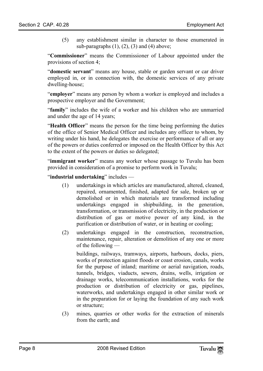(5) any establishment similar in character to those enumerated in sub-paragraphs  $(1)$ ,  $(2)$ ,  $(3)$  and  $(4)$  above;

"**Commissioner**" means the Commissioner of Labour appointed under the provisions of section 4;

"**domestic servant**" means any house, stable or garden servant or car driver employed in, or in connection with, the domestic services of any private dwelling-house;

"**employer**" means any person by whom a worker is employed and includes a prospective employer and the Government;

"**family**" includes the wife of a worker and his children who are unmarried and under the age of 14 years;

"**Health Officer**" means the person for the time being performing the duties of the office of Senior Medical Officer and includes any officer to whom, by writing under his hand, he delegates the exercise or performance of all or any of the powers or duties conferred or imposed on the Health Officer by this Act to the extent of the powers or duties so delegated;

"**immigrant worker**" means any worker whose passage to Tuvalu has been provided in consideration of a promise to perform work in Tuvalu;

"**industrial undertaking**" includes —

- (1) undertakings in which articles are manufactured, altered, cleaned, repaired, ornamented, finished, adapted for sale, broken up or demolished or in which materials are transformed including undertakings engaged in shipbuilding, in the generation, transformation, or transmission of electricity, in the production or distribution of gas or motive power of any kind, in the purification or distribution of water, or in heating or cooling;
- (2) undertakings engaged in the construction, reconstruction, maintenance, repair, alteration or demolition of any one or more of the following —

buildings, railways, tramways, airports, harbours, docks, piers, works of protection against floods or coast erosion, canals, works for the purpose of inland; maritime or aerial navigation, roads, tunnels, bridges, viaducts, sewers, drains, wells, irrigation or drainage works, telecommunication installations, works for the production or distribution of electricity or gas, pipelines, waterworks, and undertakings engaged in other similar work or in the preparation for or laying the foundation of any such work or structure;

(3) mines, quarries or other works for the extraction of minerals from the earth; and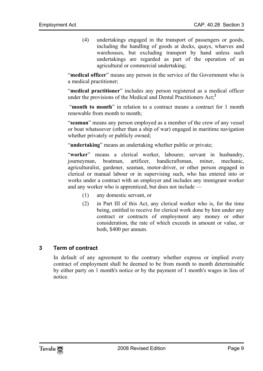(4) undertakings engaged in the transport of passengers or goods, including the handling of goods at docks, quays, wharves and warehouses, but excluding transport by hand unless such undertakings are regarded as part of the operation of an agricultural or commercial undertaking;

"**medical officer**" means any person in the service of the Government who is a medical practitioner;

"**medical practitioner**" includes any person registered as a medical officer under the provisions of the Medical and Dental Practitioners Act;**<sup>2</sup>**

"**month to month**" in relation to a contract means a contract for 1 month renewable from month to month:

"**seaman**" means any person employed as a member of the crew of any vessel or boat whatsoever (other than a ship of war) engaged in maritime navigation whether privately or publicly owned;

"**undertaking**" means an undertaking whether public or private;

"**worker**" means a clerical worker, labourer, servant in husbandry, journeyman, boatman, artificer, handicraftsman, miner, mechanic, agriculturalist, gardener, seaman, motor-driver, or other person engaged in clerical or manual labour or in supervising such, who has entered into or works under a contract with an employer and includes any immigrant worker and any worker who is apprenticed, but does not include —

- (1) any domestic servant, or
- (2) in Part III of this Act, any clerical worker who is, for the time being, entitled to receive for clerical work done by him under any contract or contracts of employment any money or other consideration, the rate of which exceeds in amount or value, or both, \$400 per annum.

# **3 Term of contract**

In default of any agreement to the contrary whether express or implied every contract of employment shall be deemed to be from month to month determinable by either party on 1 month's notice or by the payment of 1 month's wages in lieu of notice.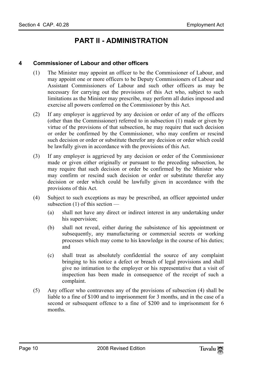# <span id="page-9-1"></span><span id="page-9-0"></span>**PART II - ADMINISTRATION**

# **4 Commissioner of Labour and other officers**

- (1) The Minister may appoint an officer to be the Commissioner of Labour, and may appoint one or more officers to be Deputy Commissioners of Labour and Assistant Commissioners of Labour and such other officers as may be necessary for carrying out the provisions of this Act who, subject to such limitations as the Minister may prescribe, may perform all duties imposed and exercise all powers conferred on the Commissioner by this Act.
- (2) If any employer is aggrieved by any decision or order of any of the officers (other than the Commissioner) referred to in subsection (1) made or given by virtue of the provisions of that subsection, he may require that such decision or order be confirmed by the Commissioner, who may confirm or rescind such decision or order or substitute therefor any decision or order which could be lawfully given in accordance with the provisions of this Act.
- (3) If any employer is aggrieved by any decision or order of the Commissioner made or given either originally or pursuant to the preceding subsection, he may require that such decision or order be confirmed by the Minister who may confirm or rescind such decision or order or substitute therefor any decision or order which could be lawfully given in accordance with the provisions of this Act.
- (4) Subject to such exceptions as may be prescribed, an officer appointed under subsection (1) of this section —
	- (a) shall not have any direct or indirect interest in any undertaking under his supervision;
	- (b) shall not reveal, either during the subsistence of his appointment or subsequently, any manufacturing or commercial secrets or working processes which may come to his knowledge in the course of his duties; and
	- (c) shall treat as absolutely confidential the source of any complaint bringing to his notice a defect or breach of legal provisions and shall give no intimation to the employer or his representative that a visit of inspection has been made in consequence of the receipt of such a complaint.
- (5) Any officer who contravenes any of the provisions of subsection (4) shall be liable to a fine of \$100 and to imprisonment for 3 months, and in the case of a second or subsequent offence to a fine of \$200 and to imprisonment for 6 months.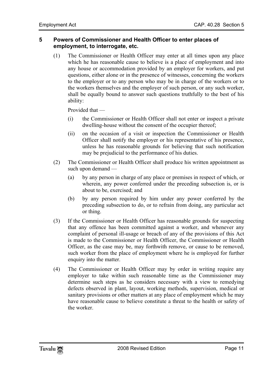# <span id="page-10-0"></span>**5 Powers of Commissioner and Health Officer to enter places of employment, to interrogate, etc.**

(1) The Commissioner or Health Officer may enter at all times upon any place which he has reasonable cause to believe is a place of employment and into any house or accommodation provided by an employer for workers, and put questions, either alone or in the presence of witnesses, concerning the workers to the employer or to any person who may be in charge of the workers or to the workers themselves and the employer of such person, or any such worker, shall be equally bound to answer such questions truthfully to the best of his ability:

Provided that —

- (i) the Commissioner or Health Officer shall not enter or inspect a private dwelling-house without the consent of the occupier thereof;
- (ii) on the occasion of a visit or inspection the Commissioner or Health Officer shall notify the employer or his representative of his presence, unless he has reasonable grounds for believing that such notification may be prejudicial to the performance of his duties.
- (2) The Commissioner or Health Officer shall produce his written appointment as such upon demand —
	- (a) by any person in charge of any place or premises in respect of which, or wherein, any power conferred under the preceding subsection is, or is about to be, exercised; and
	- (b) by any person required by him under any power conferred by the preceding subsection to do, or to refrain from doing, any particular act or thing.
- (3) If the Commissioner or Health Officer has reasonable grounds for suspecting that any offence has been committed against a worker, and whenever any complaint of personal ill-usage or breach of any of the provisions of this Act is made to the Commissioner or Health Officer, the Commissioner or Health Officer, as the case may be, may forthwith remove, or cause to be removed, such worker from the place of employment where he is employed for further enquiry into the matter.
- (4) The Commissioner or Health Officer may by order in writing require any employer to take within such reasonable time as the Commissioner may determine such steps as he considers necessary with a view to remedying defects observed in plant, layout, working methods, supervision, medical or sanitary provisions or other matters at any place of employment which he may have reasonable cause to believe constitute a threat to the health or safety of the worker.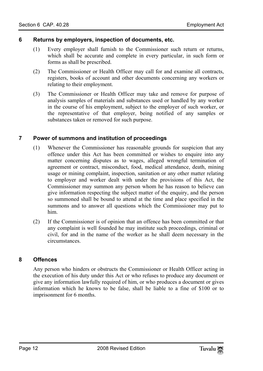# <span id="page-11-0"></span>**6 Returns by employers, inspection of documents, etc.**

- (1) Every employer shall furnish to the Commissioner such return or returns, which shall be accurate and complete in every particular, in such form or forms as shall be prescribed.
- (2) The Commissioner or Health Officer may call for and examine all contracts, registers, books of account and other documents concerning any workers or relating to their employment.
- <span id="page-11-1"></span>(3) The Commissioner or Health Officer may take and remove for purpose of analysis samples of materials and substances used or handled by any worker in the course of his employment, subject to the employer of such worker, or the representative of that employer, being notified of any samples or substances taken or removed for such purpose.

# **7 Power of summons and institution of proceedings**

- (1) Whenever the Commissioner has reasonable grounds for suspicion that any offence under this Act has been committed or wishes to enquire into any matter concerning disputes as to wages, alleged wrongful termination of agreement or contract, misconduct, food, medical attendance, death, mining usage or mining complaint, inspection, sanitation or any other matter relating to employer and worker dealt with under the provisions of this Act, the Commissioner may summon any person whom he has reason to believe can give information respecting the subject matter of the enquiry, and the person so summoned shall be bound to attend at the time and place specified in the summons and to answer all questions which the Commissioner may put to him.
- <span id="page-11-2"></span>(2) If the Commissioner is of opinion that an offence has been committed or that any complaint is well founded he may institute such proceedings, criminal or civil, for and in the name of the worker as he shall deem necessary in the circumstances.

# **8 Offences**

Any person who hinders or obstructs the Commissioner or Health Officer acting in the execution of his duty under this Act or who refuses to produce any document or give any information lawfully required of him, or who produces a document or gives information which he knows to be false, shall be liable to a fine of \$100 or to imprisonment for 6 months.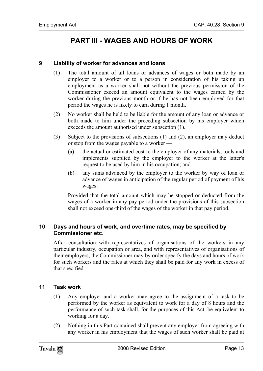# <span id="page-12-1"></span><span id="page-12-0"></span>**PART III - WAGES AND HOURS OF WORK**

# **9 Liability of worker for advances and loans**

- (1) The total amount of all loans or advances of wages or both made by an employer to a worker or to a person in consideration of his taking up employment as a worker shall not without the previous permission of the Commissioner exceed an amount equivalent to the wages earned by the worker during the previous month or if he has not been employed for that period the wages he is likely to earn during 1 month.
- (2) No worker shall be held to be liable for the amount of any loan or advance or both made to him under the preceding subsection by his employer which exceeds the amount authorised under subsection (1).
- (3) Subject to the provisions of subsections (1) and (2), an employer may deduct or stop from the wages payable to a worker —
	- (a) the actual or estimated cost to the employer of any materials, tools and implements supplied by the employer to the worker at the latter's request to be used by him in his occupation; and
	- (b) any sums advanced by the employer to the worker by way of loan or advance of wages in anticipation of the regular period of payment of his wages:

<span id="page-12-2"></span>Provided that the total amount which may be stopped or deducted from the wages of a worker in any pay period under the provisions of this subsection shall not exceed one-third of the wages of the worker in that pay period.

# **10 Days and hours of work, and overtime rates, may be specified by Commissioner etc.**

<span id="page-12-3"></span>After consultation with representatives of organisations of the workers in any particular industry, occupation or area, and with representatives of organisations of their employers, the Commissioner may by order specify the days and hours of work for such workers and the rates at which they shall be paid for any work in excess of that specified.

# **11 Task work**

- (1) Any employer and a worker may agree to the assignment of a task to be performed by the worker as equivalent to work for a day of 8 hours and the performance of such task shall, for the purposes of this Act, be equivalent to working for a day.
- (2) Nothing in this Part contained shall prevent any employer from agreeing with any worker in his employment that the wages of such worker shall be paid at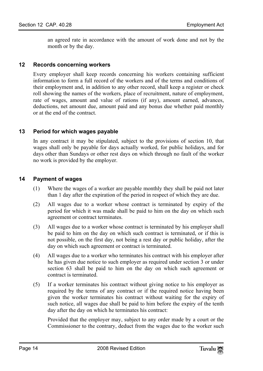<span id="page-13-0"></span>an agreed rate in accordance with the amount of work done and not by the month or by the day.

# **12 Records concerning workers**

<span id="page-13-1"></span>Every employer shall keep records concerning his workers containing sufficient information to form a full record of the workers and of the terms and conditions of their employment and, in addition to any other record, shall keep a register or check roll showing the names of the workers, place of recruitment, nature of employment, rate of wages, amount and value of rations (if any), amount earned, advances, deductions, net amount due, amount paid and any bonus due whether paid monthly or at the end of the contract.

# **13 Period for which wages payable**

<span id="page-13-2"></span>In any contract it may be stipulated, subject to the provisions of section 10, that wages shall only be payable for days actually worked, for public holidays, and for days other than Sundays or other rest days on which through no fault of the worker no work is provided by the employer.

# **14 Payment of wages**

- (1) Where the wages of a worker are payable monthly they shall be paid not later than 1 day after the expiration of the period in respect of which they are due.
- (2) All wages due to a worker whose contract is terminated by expiry of the period for which it was made shall be paid to him on the day on which such agreement or contract terminates.
- (3) All wages due to a worker whose contract is terminated by his employer shall be paid to him on the day on which such contract is terminated, or if this is not possible, on the first day, not being a rest day or public holiday, after the day on which such agreement or contract is terminated.
- (4) All wages due to a worker who terminates his contract with his employer after he has given due notice to such employer as required under section 3 or under section 63 shall be paid to him on the day on which such agreement or contract is terminated.
- (5) If a worker terminates his contract without giving notice to his employer as required by the terms of any contract or if the required notice having been given the worker terminates his contract without waiting for the expiry of such notice, all wages due shall be paid to him before the expiry of the tenth day after the day on which he terminates his contract:

Provided that the employer may, subject to any order made by a court or the Commissioner to the contrary, deduct from the wages due to the worker such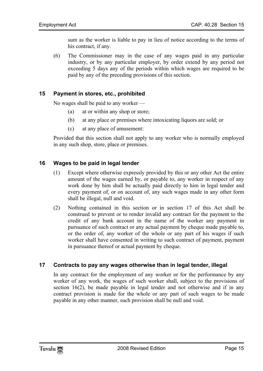sum as the worker is liable to pay in lieu of notice according to the terms of his contract, if any.

<span id="page-14-0"></span>(6) The Commissioner may in the case of any wages paid in any particular industry, or by any particular employer, by order extend by any period not exceeding 5 days any of the periods within which wages are required to be paid by any of the preceding provisions of this section.

# **15 Payment in stores, etc., prohibited**

No wages shall be paid to any worker —

- (a) at or within any shop or store;
- (b) at any place or premises where intoxicating liquors are sold; or
- <span id="page-14-1"></span>(c) at any place of amusement:

Provided that this section shall not apply to any worker who is normally employed in any such shop, store, place or premises.

# **16 Wages to be paid in legal tender**

- (1) Except where otherwise expressly provided by this or any other Act the entire amount of the wages earned by, or payable to, any worker in respect of any work done by him shall be actually paid directly to him in legal tender and every payment of, or on account of, any such wages made in any other form shall be illegal, null and void.
- <span id="page-14-2"></span>(2) Nothing contained in this section or in section 17 of this Act shall be construed to prevent or to render invalid any contract for the payment to the credit of any bank account in the name of the worker any payment in pursuance of such contract or any actual payment by cheque made payable to, or the order of, any worker of the whole or any part of his wages if such worker shall have consented in writing to such contract of payment, payment in pursuance thereof or actual payment by cheque.

# **17 Contracts to pay any wages otherwise than in legal tender, illegal**

In any contract for the employment of any worker or for the performance by any worker of any work, the wages of such worker shall, subject to the provisions of section 16(2), be made payable in legal tender and not otherwise and if in any contract provision is made for the whole or any part of such wages to be made payable in any other manner, such provision shall be null and void.

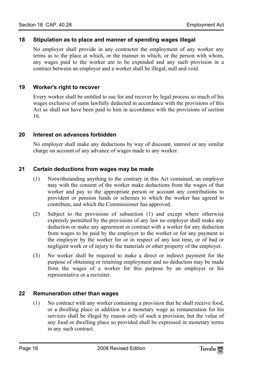# <span id="page-15-0"></span>**18 Stipulation as to place and manner of spending wages illegal**

<span id="page-15-1"></span>No employer shall provide in any contractor the employment of any worker any terms as to the place at which, or the manner in which, or the person with whom, any wages paid to the worker are to be expended and any such provision in a contract between an employer and a worker shall be illegal, null and void.

# **19 Worker's right to recover**

<span id="page-15-2"></span>Every worker shall be entitled to sue for and recover by legal process so much of his wages exclusive of sums lawfully deducted in accordance with the provisions of this Act as shall not have been paid to him in accordance with the provisions of section 16.

# **20 Interest on advances forbidden**

<span id="page-15-3"></span>No employer shall make any deductions by way of discount, interest or any similar charge on account of any advance of wages made to any worker.

# **21 Certain deductions from wages may be made**

- (1) Notwithstanding anything to the contrary in this Act contained, an employer may with the consent of the worker make deductions from the wages of that worker and pay to the appropriate person or account any contributions to provident or pension funds or schemes to which the worker has agreed to contribute, and which the Commissioner has approved.
- (2) Subject to the provisions of subsection (1) and except where otherwise expressly permitted by the provisions of any law no employer shall make any deduction or make any agreement or contract with a worker for any deduction from wages to be paid by the employer to the worker or for any payment to the employer by the worker for or in respect of any lost time, or of bad or negligent work or of injury to the materials or other property of the employer.
- <span id="page-15-4"></span>(3) No worker shall be required to make a direct or indirect payment for the purpose of obtaining or retaining employment and no deduction may be made from the wages of a worker for this purpose by an employer or his representative or a recruiter.

# **22 Remuneration other than wages**

(1) No contract with any worker containing a provision that he shall receive food, or a dwelling place in addition to a monetary wage as remuneration for his services shall be illegal by reason only of such a provision, but the value of any food or dwelling place so provided shall be expressed in monetary terms in any such contract.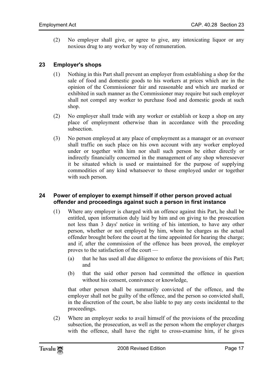(2) No employer shall give, or agree to give, any intoxicating liquor or any noxious drug to any worker by way of remuneration.

# **23 Employer's shops**

- (1) Nothing in this Part shall prevent an employer from establishing a shop for the sale of food and domestic goods to his workers at prices which are in the opinion of the Commissioner fair and reasonable and which are marked or exhibited in such manner as the Commissioner may require but such employer shall not compel any worker to purchase food and domestic goods at such shop.
- (2) No employer shall trade with any worker or establish or keep a shop on any place of employment otherwise than in accordance with the preceding subsection.
- <span id="page-16-0"></span>(3) No person employed at any place of employment as a manager or an overseer shall traffic on such place on his own account with any worker employed under or together with him nor shall such person be either directly or indirectly financially concerned in the management of any shop wheresoever it be situated which is used or maintained for the purpose of supplying commodities of any kind whatsoever to those employed under or together with such person.

# **24 Power of employer to exempt himself if other person proved actual offender and proceedings against such a person in first instance**

- (1) Where any employer is charged with an offence against this Part, he shall be entitled, upon information duly laid by him and on giving to the prosecution not less than 3 days' notice in writing of his intention, to have any other person, whether or not employed by him, whom he charges as the actual offender brought before the court at the time appointed for hearing the charge; and if, after the commission of the offence has been proved, the employer proves to the satisfaction of the court —
	- (a) that he has used all due diligence to enforce the provisions of this Part; and
	- (b) that the said other person had committed the offence in question without his consent, connivance or knowledge,

that other person shall be summarily convicted of the offence, and the employer shall not be guilty of the offence, and the person so convicted shall, in the discretion of the court, be also liable to pay any costs incidental to the proceedings.

(2) Where an employer seeks to avail himself of the provisions of the preceding subsection, the prosecution, as well as the person whom the employer charges with the offence, shall have the right to cross-examine him, if he gives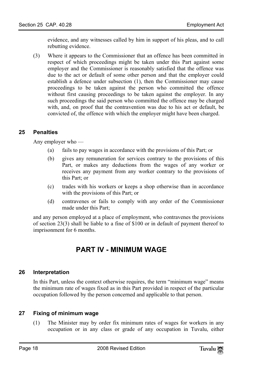evidence, and any witnesses called by him in support of his pleas, and to call rebutting evidence.

(3) Where it appears to the Commissioner that an offence has been committed in respect of which proceedings might be taken under this Part against some employer and the Commissioner is reasonably satisfied that the offence was due to the act or default of some other person and that the employer could establish a defence under subsection (1), then the Commissioner may cause proceedings to be taken against the person who committed the offence without first causing proceedings to be taken against the employer. In any such proceedings the said person who committed the offence may be charged with, and, on proof that the contravention was due to his act or default, be convicted of, the offence with which the employer might have been charged.

# <span id="page-17-0"></span>**25 Penalties**

Any employer who —

- (a) fails to pay wages in accordance with the provisions of this Part; or
- (b) gives any remuneration for services contrary to the provisions of this Part, or makes any deductions from the wages of any worker or receives any payment from any worker contrary to the provisions of this Part; or
- (c) trades with his workers or keeps a shop otherwise than in accordance with the provisions of this Part; or
- (d) contravenes or fails to comply with any order of the Commissioner made under this Part;

and any person employed at a place of employment, who contravenes the provisions of section 23(3) shall be liable to a fine of \$100 or in default of payment thereof to imprisonment for 6 months.

# <span id="page-17-2"></span><span id="page-17-1"></span>**PART IV - MINIMUM WAGE**

# **26 Interpretation**

<span id="page-17-3"></span>In this Part, unless the context otherwise requires, the term "minimum wage" means the minimum rate of wages fixed as in this Part provided in respect of the particular occupation followed by the person concerned and applicable to that person.

# **27 Fixing of minimum wage**

(1) The Minister may by order fix minimum rates of wages for workers in any occupation or in any class or grade of any occupation in Tuvalu, either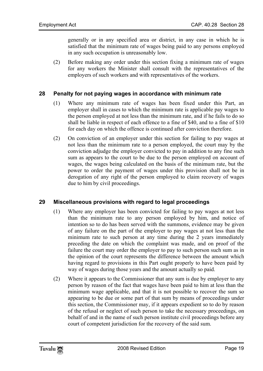generally or in any specified area or district, in any case in which he is satisfied that the minimum rate of wages being paid to any persons employed in any such occupation is unreasonably low.

<span id="page-18-0"></span>(2) Before making any order under this section fixing a minimum rate of wages for any workers the Minister shall consult with the representatives of the employers of such workers and with representatives of the workers.

# **28 Penalty for not paying wages in accordance with minimum rate**

- (1) Where any minimum rate of wages has been fixed under this Part, an employer shall in cases to which the minimum rate is applicable pay wages to the person employed at not less than the minimum rate, and if he fails to do so shall be liable in respect of each offence to a fine of \$40, and to a fine of \$10 for each day on which the offence is continued after conviction therefore.
- <span id="page-18-1"></span>(2) On conviction of an employer under this section for failing to pay wages at not less than the minimum rate to a person employed, the court may by the conviction adjudge the employer convicted to pay in addition to any fine such sum as appears to the court to be due to the person employed on account of wages, the wages being calculated on the basis of the minimum rate, but the power to order the payment of wages under this provision shall not be in derogation of any right of the person employed to claim recovery of wages due to him by civil proceedings.

# **29 Miscellaneous provisions with regard to legal proceedings**

- (1) Where any employer has been convicted for failing to pay wages at not less than the minimum rate to any person employed by him, and notice of intention so to do has been served with the summons, evidence may be given of any failure on the part of the employer to pay wages at not less than the minimum rate to such person at any time during the 2 years immediately preceding the date on which the complaint was made, and on proof of the failure the court may order the employer to pay to such person such sum as in the opinion of the court represents the difference between the amount which having regard to provisions in this Part ought properly to have been paid by way of wages during those years and the amount actually so paid.
- (2) Where it appears to the Commissioner that any sum is due by employer to any person by reason of the fact that wages have been paid to him at less than the minimum wage applicable, and that it is not possible to recover the sum so appearing to be due or some part of that sum by means of proceedings under this section, the Commissioner may, if it appears expedient so to do by reason of the refusal or neglect of such person to take the necessary proceedings, on behalf of and in the name of such person institute civil proceedings before any court of competent jurisdiction for the recovery of the said sum.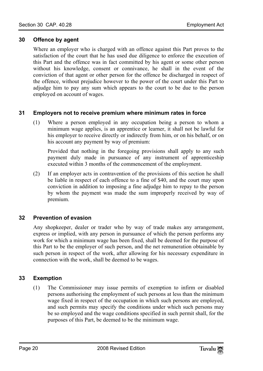# <span id="page-19-0"></span>**30 Offence by agent**

<span id="page-19-1"></span>Where an employer who is charged with an offence against this Part proves to the satisfaction of the court that he has used due diligence to enforce the execution of this Part and the offence was in fact committed by his agent or some other person without his knowledge, consent or connivance, he shall in the event of the conviction of that agent or other person for the offence be discharged in respect of the offence, without prejudice however to the power of the court under this Part to adjudge him to pay any sum which appears to the court to be due to the person employed on account of wages.

# **31 Employers not to receive premium where minimum rates in force**

(1) Where a person employed in any occupation being a person to whom a minimum wage applies, is an apprentice or learner, it shall not be lawful for his employer to receive directly or indirectly from him, or on his behalf, or on his account any payment by way of premium:

Provided that nothing in the foregoing provisions shall apply to any such payment duly made in pursuance of any instrument of apprenticeship executed within 3 months of the commencement of the employment.

<span id="page-19-2"></span>(2) If an employer acts in contravention of the provisions of this section he shall be liable in respect of each offence to a fine of \$40, and the court may upon conviction in addition to imposing a fine adjudge him to repay to the person by whom the payment was made the sum improperly received by way of premium.

# **32 Prevention of evasion**

<span id="page-19-3"></span>Any shopkeeper, dealer or trader who by way of trade makes any arrangement, express or implied, with any person in pursuance of which the person performs any work for which a minimum wage has been fixed, shall be deemed for the purpose of this Part to be the employer of such person, and the net remuneration obtainable by such person in respect of the work, after allowing for his necessary expenditure in connection with the work, shall be deemed to be wages.

# **33 Exemption**

(1) The Commissioner may issue permits of exemption to infirm or disabled persons authorising the employment of such persons at less than the minimum wage fixed in respect of the occupation in which such persons are employed, and such permits may specify the conditions under which such persons may be so employed and the wage conditions specified in such permit shall, for the purposes of this Part, be deemed to be the minimum wage.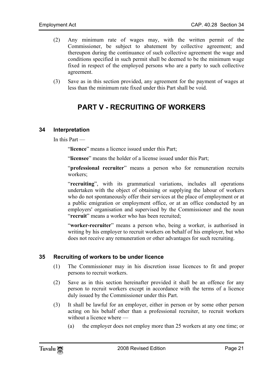- (2) Any minimum rate of wages may, with the written permit of the Commissioner, be subject to abatement by collective agreement; and thereupon during the continuance of such collective agreement the wage and conditions specified in such permit shall be deemed to be the minimum wage fixed in respect of the employed persons who are a party to such collective agreement.
- (3) Save as in this section provided, any agreement for the payment of wages at less than the minimum rate fixed under this Part shall be void.

# <span id="page-20-1"></span><span id="page-20-0"></span>**PART V - RECRUITING OF WORKERS**

# **34 Interpretation**

In this Part —

"**licence**" means a licence issued under this Part;

"**licensee**" means the holder of a license issued under this Part;

"**professional recruiter**" means a person who for remuneration recruits workers;

"**recruiting**", with its grammatical variations, includes all operations undertaken with the object of obtaining or supplying the labour of workers who do not spontaneously offer their services at the place of employment or at a public emigration or employment office, or at an office conducted by an employers' organisation and supervised by the Commissioner and the noun "**recruit**" means a worker who has been recruited;

<span id="page-20-2"></span>"**worker-recruiter**" means a person who, being a worker, is authorised in writing by his employer to recruit workers on behalf of his employer, but who does not receive any remuneration or other advantages for such recruiting.

# **35 Recruiting of workers to be under licence**

- (1) The Commissioner may in his discretion issue licences to fit and proper persons to recruit workers.
- (2) Save as in this section hereinafter provided it shall be an offence for any person to recruit workers except in accordance with the terms of a licence duly issued by the Commissioner under this Part.
- (3) It shall be lawful for an employer, either in person or by some other person acting on his behalf other than a professional recruiter, to recruit workers without a licence where —
	- (a) the employer does not employ more than 25 workers at any one time; or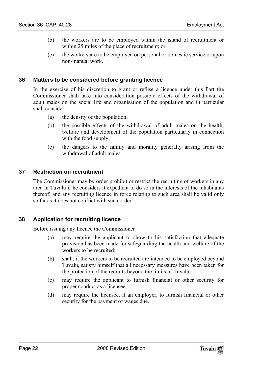- <span id="page-21-0"></span>(b) the workers are to be employed within the island of recruitment or within 25 miles of the place of recruitment; or
- (c) the workers are to be employed on personal or domestic service or upon non-manual work.

# **36 Matters to be considered before granting licence**

In the exercise of his discretion to grant or refuse a licence under this Part the Commissioner shall take into consideration possible effects of the withdrawal of adult males on the social life and organisation of the population and in particular shall consider —

- (a) the density of the population;
- (b) the possible effects of the withdrawal of adult males on the health, welfare and development of the population particularly in connection with the food supply;
- <span id="page-21-1"></span>(c) the dangers to the family and morality generally arising from the withdrawal of adult males.

# **37 Restriction on recruitment**

<span id="page-21-2"></span>The Commissioner may by order prohibit or restrict the recruiting of workers in any area in Tuvalu if he considers it expedient to do so in the interests of the inhabitants thereof; and any recruiting licence in force relating to such area shall be valid only so far as it does not conflict with such order.

# **38 Application for recruiting licence**

Before issuing any licence the Commissioner —

- (a) may require the applicant to show to his satisfaction that adequate provision has been made for safeguarding the health and welfare of the workers to be recruited;
- (b) shall, if the workers to be recruited are intended to be employed beyond Tuvalu, satisfy himself that all necessary measures have been taken for the protection of the recruits beyond the limits of Tuvalu;
- (c) may require the applicant to furnish financial or other security for proper conduct as a licensee;
- (d) may require the licensee, if an employer, to furnish financial or other security for the payment of wages due.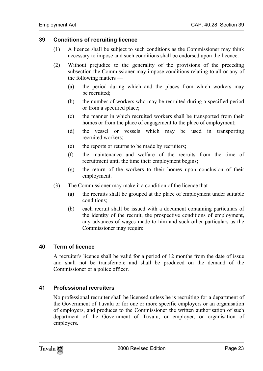# **39 Conditions of recruiting licence**

- <span id="page-22-0"></span>(1) A licence shall be subject to such conditions as the Commissioner may think necessary to impose and such conditions shall be endorsed upon the licence.
- (2) Without prejudice to the generality of the provisions of the preceding subsection the Commissioner may impose conditions relating to all or any of the following matters —
	- (a) the period during which and the places from which workers may be recruited;
	- (b) the number of workers who may be recruited during a specified period or from a specified place;
	- (c) the manner in which recruited workers shall be transported from their homes or from the place of engagement to the place of employment;
	- (d) the vessel or vessels which may be used in transporting recruited workers;
	- (e) the reports or returns to be made by recruiters;
	- (f) the maintenance and welfare of the recruits from the time of recruitment until the time their employment begins;
	- (g) the return of the workers to their homes upon conclusion of their employment.
- <span id="page-22-1"></span>(3) The Commissioner may make it a condition of the licence that —
	- (a) the recruits shall be grouped at the place of employment under suitable conditions;
	- (b) each recruit shall be issued with a document containing particulars of the identity of the recruit, the prospective conditions of employment, any advances of wages made to him and such other particulars as the Commissioner may require.

# **40 Term of licence**

<span id="page-22-2"></span>A recruiter's licence shall be valid for a period of 12 months from the date of issue and shall not be transferable and shall be produced on the demand of the Commissioner or a police officer.

# **41 Professional recruiters**

No professional recruiter shall be licensed unless he is recruiting for a department of the Government of Tuvalu or for one or more specific employers or an organisation of employers, and produces to the Commissioner the written authorisation of such department of the Government of Tuvalu, or employer, or organisation of employers.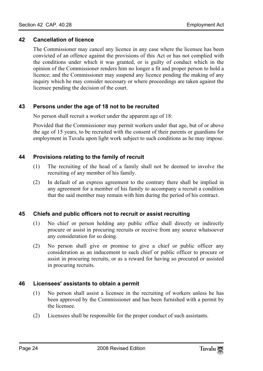# **42 Cancellation of licence**

<span id="page-23-1"></span><span id="page-23-0"></span>The Commissioner may cancel any licence in any case where the licensee has been convicted of an offence against the provisions of this Act or has not complied with the conditions under which it was granted, or is guilty of conduct which in the opinion of the Commissioner renders him no longer a fit and proper person to hold a licence; and the Commissioner may suspend any licence pending the making of any inquiry which he may consider necessary or where proceedings are taken against the licensee pending the decision of the court.

# **43 Persons under the age of 18 not to be recruited**

No person shall recruit a worker under the apparent age of 18:

<span id="page-23-2"></span>Provided that the Commissioner may permit workers under that age, but of or above the age of 15 years, to be recruited with the consent of their parents or guardians for employment in Tuvalu upon light work subject to such conditions as he may impose.

# **44 Provisions relating to the family of recruit**

- (1) The recruiting of the head of a family shall not be deemed to involve the recruiting of any member of his family.
- <span id="page-23-3"></span>(2) In default of an express agreement to the contrary there shall be implied in any agreement for a member of his family to accompany a recruit a condition that the said member may remain with him during the period of his contract.

# **45 Chiefs and public officers not to recruit or assist recruiting**

- (1) No chief or person holding any public office shall directly or indirectly procure or assist in procuring recruits or receive from any source whatsoever any consideration for so doing.
- <span id="page-23-4"></span>(2) No person shall give or promise to give a chief or public officer any consideration as an inducement to such chief or public officer to procure or assist in procuring recruits, or as a reward for having so procured or assisted in procuring recruits.

# **46 Licensees' assistants to obtain a permit**

- (1) No person shall assist a licensee in the recruiting of workers unless he has been approved by the Commissioner and has been furnished with a permit by the licensee.
- (2) Licensees shall be responsible for the proper conduct of such assistants.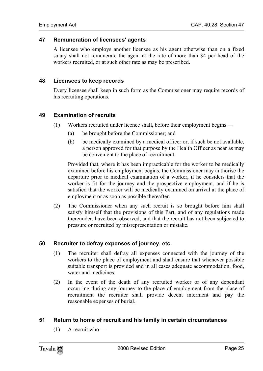### **47 Remuneration of licensees' agents**

<span id="page-24-1"></span><span id="page-24-0"></span>A licensee who employs another licensee as his agent otherwise than on a fixed salary shall not remunerate the agent at the rate of more than \$4 per head of the workers recruited, or at such other rate as may be prescribed.

#### **48 Licensees to keep records**

<span id="page-24-2"></span>Every licensee shall keep in such form as the Commissioner may require records of his recruiting operations.

# **49 Examination of recruits**

- (1) Workers recruited under licence shall, before their employment begins
	- (a) be brought before the Commissioner; and
	- (b) be medically examined by a medical officer or, if such be not available, a person approved for that purpose by the Health Officer as near as may be convenient to the place of recruitment:

Provided that, where it has been impracticable for the worker to be medically examined before his employment begins, the Commissioner may authorise the departure prior to medical examination of a worker, if he considers that the worker is fit for the journey and the prospective employment, and if he is satisfied that the worker will be medically examined on arrival at the place of employment or as soon as possible thereafter.

<span id="page-24-3"></span>(2) The Commissioner when any such recruit is so brought before him shall satisfy himself that the provisions of this Part, and of any regulations made thereunder, have been observed, and that the recruit has not been subjected to pressure or recruited by misrepresentation or mistake.

# **50 Recruiter to defray expenses of journey, etc.**

- (1) The recruiter shall defray all expenses connected with the journey of the workers to the place of employment and shall ensure that whenever possible suitable transport is provided and in all cases adequate accommodation, food, water and medicines.
- <span id="page-24-4"></span>(2) In the event of the death of any recruited worker or of any dependant occurring during any journey to the place of employment from the place of recruitment the recruiter shall provide decent interment and pay the reasonable expenses of burial.

# **51 Return to home of recruit and his family in certain circumstances**

 $(1)$  A recruit who —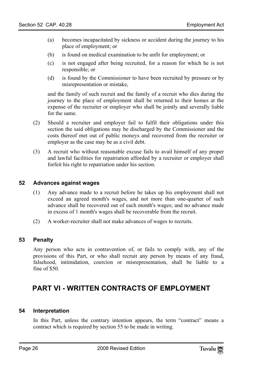- (a) becomes incapacitated by sickness or accident during the journey to his place of employment; or
- (b) is found on medical examination to be unfit for employment; or
- (c) is not engaged after being recruited, for a reason for which he is not responsible; or
- (d) is found by the Commissioner to have been recruited by pressure or by misrepresentation or mistake,

and the family of such recruit and the family of a recruit who dies during the journey to the place of employment shall be returned to their homes at the expense of the recruiter or employer who shall be jointly and severally liable for the same.

- (2) Should a recruiter and employer fail to fulfil their obligations under this section the said obligations may be discharged by the Commissioner and the costs thereof met out of public moneys and recovered from the recruiter or employer as the case may be as a civil debt.
- <span id="page-25-0"></span>(3) A recruit who without reasonable excuse fails to avail himself of any proper and lawful facilities for repatriation afforded by a recruiter or employer shall forfeit his right to repatriation under his section.

# **52 Advances against wages**

- <span id="page-25-1"></span>(1) Any advance made to a recruit before he takes up his employment shall not exceed an agreed month's wages, and not more than one-quarter of such advance shall be recovered out of each month's wages; and no advance made in excess of 1 month's wages shall be recoverable from the recruit.
- (2) A worker-recruiter shall not make advances of wages to recruits.

# **53 Penalty**

<span id="page-25-2"></span>Any person who acts in contravention of, or fails to comply with, any of the provisions of this Part, or who shall recruit any person by means of any fraud, falsehood, intimidation, coercion or misrepresentation, shall be liable to a fine of \$50.

# <span id="page-25-3"></span>**PART VI - WRITTEN CONTRACTS OF EMPLOYMENT**

# **54 Interpretation**

In this Part, unless the contrary intention appears, the term "contract" means a contract which is required by section 55 to be made in writing.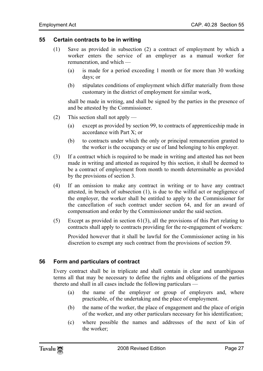# **55 Certain contracts to be in writing**

- <span id="page-26-0"></span>(1) Save as provided in subsection (2) a contract of employment by which a worker enters the service of an employer as a manual worker for remuneration, and which —
	- (a) is made for a period exceeding 1 month or for more than 30 working days; or
	- (b) stipulates conditions of employment which differ materially from those customary in the district of employment for similar work,

shall be made in writing, and shall be signed by the parties in the presence of and be attested by the Commissioner.

- (2) This section shall not apply
	- (a) except as provided by section 99, to contracts of apprenticeship made in accordance with Part X; or
	- (b) to contracts under which the only or principal remuneration granted to the worker is the occupancy or use of land belonging to his employer.
- (3) If a contract which is required to be made in writing and attested has not been made in writing and attested as required by this section, it shall be deemed to be a contract of employment from month to month determinable as provided by the provisions of section 3.
- (4) If an omission to make any contract in writing or to have any contract attested, in breach of subsection (1), is due to the wilful act or negligence of the employer, the worker shall be entitled to apply to the Commissioner for the cancellation of such contract under section 64, and for an award of compensation and order by the Commissioner under the said section.
- (5) Except as provided in section 61(3), all the provisions of this Part relating to contracts shall apply to contracts providing for the re-engagement of workers:

<span id="page-26-1"></span>Provided however that it shall be lawful for the Commissioner acting in his discretion to exempt any such contract from the provisions of section 59.

# **56 Form and particulars of contract**

Every contract shall be in triplicate and shall contain in clear and unambiguous terms all that may be necessary to define the rights and obligations of the parties thereto and shall in all cases include the following particulars —

- (a) the name of the employer or group of employers and, where practicable, of the undertaking and the place of employment.
- (b) the name of the worker, the place of engagement and the place of origin of the worker, and any other particulars necessary for his identification;
- (c) where possible the names and addresses of the next of kin of the worker;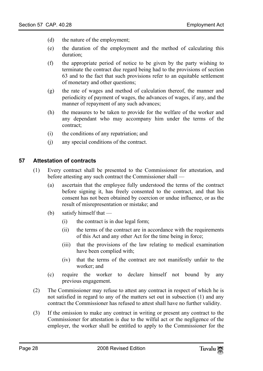- (d) the nature of the employment;
- (e) the duration of the employment and the method of calculating this duration;
- (f) the appropriate period of notice to be given by the party wishing to terminate the contract due regard being had to the provisions of section 63 and to the fact that such provisions refer to an equitable settlement of monetary and other questions;
- (g) the rate of wages and method of calculation thereof, the manner and periodicity of payment of wages, the advances of wages, if any, and the manner of repayment of any such advances;
- (h) the measures to be taken to provide for the welfare of the worker and any dependant who may accompany him under the terms of the contract;
- <span id="page-27-0"></span>(i) the conditions of any repatriation; and
- (j) any special conditions of the contract.

# **57 Attestation of contracts**

- (1) Every contract shall be presented to the Commissioner for attestation, and before attesting any such contract the Commissioner shall —
	- (a) ascertain that the employee fully understood the terms of the contract before signing it, has freely consented to the contract, and that his consent has not been obtained by coercion or undue influence, or as the result of misrepresentation or mistake; and
	- (b) satisfy himself that
		- (i) the contract is in due legal form;
		- (ii) the terms of the contract are in accordance with the requirements of this Act and any other Act for the time being in force;
		- (iii) that the provisions of the law relating to medical examination have been complied with;
		- (iv) that the terms of the contract are not manifestly unfair to the worker; and
	- (c) require the worker to declare himself not bound by any previous engagement.
- (2) The Commissioner may refuse to attest any contract in respect of which he is not satisfied in regard to any of the matters set out in subsection (1) and any contract the Commissioner has refused to attest shall have no further validity.
- (3) If the omission to make any contract in writing or present any contract to the Commissioner for attestation is due to the wilful act or the negligence of the employer, the worker shall be entitled to apply to the Commissioner for the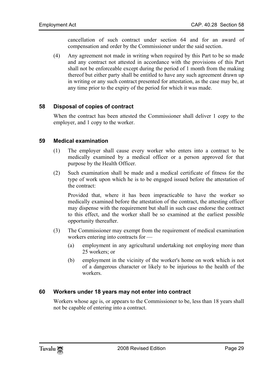cancellation of such contract under section 64 and for an award of compensation and order by the Commissioner under the said section.

<span id="page-28-0"></span>(4) Any agreement not made in writing when required by this Part to be so made and any contract not attested in accordance with the provisions of this Part shall not be enforceable except during the period of 1 month from the making thereof but either party shall be entitled to have any such agreement drawn up in writing or any such contract presented for attestation, as the case may be, at any time prior to the expiry of the period for which it was made.

# **58 Disposal of copies of contract**

<span id="page-28-1"></span>When the contract has been attested the Commissioner shall deliver 1 copy to the employer, and 1 copy to the worker.

# **59 Medical examination**

- (1) The employer shall cause every worker who enters into a contract to be medically examined by a medical officer or a person approved for that purpose by the Health Officer.
- (2) Such examination shall be made and a medical certificate of fitness for the type of work upon which he is to be engaged issued before the attestation of the contract:

Provided that, where it has been impracticable to have the worker so medically examined before the attestation of the contract, the attesting officer may dispense with the requirement but shall in such case endorse the contract to this effect, and the worker shall be so examined at the earliest possible opportunity thereafter.

- <span id="page-28-2"></span>(3) The Commissioner may exempt from the requirement of medical examination workers entering into contracts for —
	- (a) employment in any agricultural undertaking not employing more than 25 workers; or
	- (b) employment in the vicinity of the worker's home on work which is not of a dangerous character or likely to be injurious to the health of the workers.

# **60 Workers under 18 years may not enter into contract**

Workers whose age is, or appears to the Commissioner to be, less than 18 years shall not be capable of entering into a contract.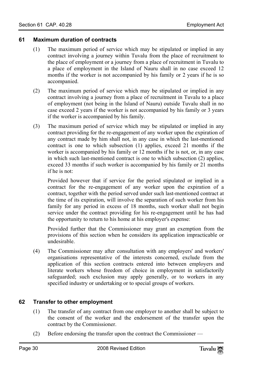# **61 Maximum duration of contracts**

- (1) The maximum period of service which may be stipulated or implied in any contract involving a journey within Tuvalu from the place of recruitment to the place of employment or a journey from a place of recruitment in Tuvalu to a place of employment in the Island of Nauru shall in no case exceed 12 months if the worker is not accompanied by his family or 2 years if he is so accompanied.
- (2) The maximum period of service which may be stipulated or implied in any contract involving a journey from a place of recruitment in Tuvalu to a place of employment (not being in the Island of Nauru) outside Tuvalu shall in no case exceed 2 years if the worker is not accompanied by his family or 3 years if the worker is accompanied by his family.
- (3) The maximum period of service which may be stipulated or implied in any contract providing for the re-engagement of any worker upon the expiration of any contract made by him shall not, in any case in which the last-mentioned contract is one to which subsection (1) applies, exceed 21 months if the worker is accompanied by his family or 12 months if he is not, or, in any case in which such last-mentioned contract is one to which subsection (2) applies, exceed 33 months if such worker is accompanied by his family or 21 months if he is not:

Provided however that if service for the period stipulated or implied in a contract for the re-engagement of any worker upon the expiration of a contract, together with the period served under such last-mentioned contract at the time of its expiration, will involve the separation of such worker from his family for any period in excess of 18 months, such worker shall not begin service under the contract providing for his re-engagement until he has had the opportunity to return to his home at his employer's expense:

Provided further that the Commissioner may grant an exemption from the provisions of this section when he considers its application impracticable or undesirable.

(4) The Commissioner may after consultation with any employers' and workers' organisations representative of the interests concerned, exclude from the application of this section contracts entered into between employers and literate workers whose freedom of choice in employment in satisfactorily safeguarded; such exclusion may apply generally, or to workers in any specified industry or undertaking or to special groups of workers.

# **62 Transfer to other employment**

- (1) The transfer of any contract from one employer to another shall be subject to the consent of the worker and the endorsement of the transfer upon the contract by the Commissioner.
- (2) Before endorsing the transfer upon the contract the Commissioner —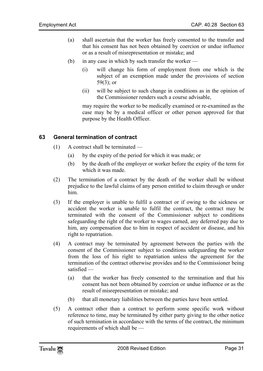- (a) shall ascertain that the worker has freely consented to the transfer and that his consent has not been obtained by coercion or undue influence or as a result of misrepresentation or mistake; and
- (b) in any case in which by such transfer the worker
	- (i) will change his form of employment from one which is the subject of an exemption made under the provisions of section 59(3); or
	- (ii) will be subject to such change in conditions as in the opinion of the Commissioner renders such a course advisable,

<span id="page-30-0"></span>may require the worker to be medically examined or re-examined as the case may be by a medical officer or other person approved for that purpose by the Health Officer.

# **63 General termination of contract**

- (1) A contract shall be terminated
	- (a) by the expiry of the period for which it was made; or
	- (b) by the death of the employer or worker before the expiry of the term for which it was made.
- (2) The termination of a contract by the death of the worker shall be without prejudice to the lawful claims of any person entitled to claim through or under him.
- (3) If the employer is unable to fulfil a contract or if owing to the sickness or accident the worker is unable to fulfil the contract, the contract may be terminated with the consent of the Commissioner subject to conditions safeguarding the right of the worker to wages earned, any deferred pay due to him, any compensation due to him in respect of accident or disease, and his right to repatriation.
- (4) A contract may be terminated by agreement between the parties with the consent of the Commissioner subject to conditions safeguarding the worker from the loss of his right to repatriation unless the agreement for the termination of the contract otherwise provides and to the Commissioner being satisfied —
	- (a) that the worker has freely consented to the termination and that his consent has not been obtained by coercion or undue influence or as the result of misrepresentation or mistake; and
	- (b) that all monetary liabilities between the parties have been settled.
- (5) A contract other than a contract to perform some specific work without reference to time, may be terminated by either party giving to the other notice of such termination in accordance with the terms of the contract, the minimum requirements of which shall be —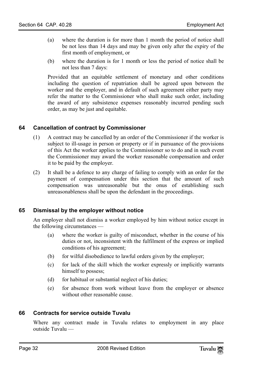- (a) where the duration is for more than 1 month the period of notice shall be not less than 14 days and may be given only after the expiry of the first month of employment, or
- (b) where the duration is for 1 month or less the period of notice shall be not less than 7 days:

<span id="page-31-0"></span>Provided that an equitable settlement of monetary and other conditions including the question of repatriation shall be agreed upon between the worker and the employer, and in default of such agreement either party may refer the matter to the Commissioner who shall make such order, including the award of any subsistence expenses reasonably incurred pending such order, as may be just and equitable.

# **64 Cancellation of contract by Commissioner**

- (1) A contract may be cancelled by an order of the Commissioner if the worker is subject to ill-usage in person or property or if in pursuance of the provisions of this Act the worker applies to the Commissioner so to do and in such event the Commissioner may award the worker reasonable compensation and order it to be paid by the employer.
- (2) It shall be a defence to any charge of failing to comply with an order for the payment of compensation under this section that the amount of such compensation was unreasonable but the onus of establishing such unreasonableness shall be upon the defendant in the proceedings.

# **65 Dismissal by the employer without notice**

An employer shall not dismiss a worker employed by him without notice except in the following circumstances —

- (a) where the worker is guilty of misconduct, whether in the course of his duties or not, inconsistent with the fulfilment of the express or implied conditions of his agreement;
- (b) for wilful disobedience to lawful orders given by the employer;
- (c) for lack of the skill which the worker expressly or implicitly warrants himself to possess;
- <span id="page-31-1"></span>(d) for habitual or substantial neglect of his duties;
- (e) for absence from work without leave from the employer or absence without other reasonable cause.

# **66 Contracts for service outside Tuvalu**

Where any contract made in Tuvalu relates to employment in any place outside Tuvalu —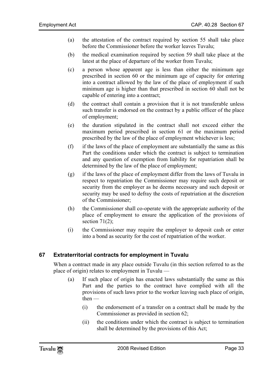- (a) the attestation of the contract required by section 55 shall take place before the Commissioner before the worker leaves Tuvalu;
- (b) the medical examination required by section 59 shall take place at the latest at the place of departure of the worker from Tuvalu;
- (c) a person whose apparent age is less than either the minimum age prescribed in section 60 or the minimum age of capacity for entering into a contract allowed by the law of the place of employment if such minimum age is higher than that prescribed in section 60 shall not be capable of entering into a contract;
- (d) the contract shall contain a provision that it is not transferable unless such transfer is endorsed on the contract by a public officer of the place of employment;
- (e) the duration stipulated in the contract shall not exceed either the maximum period prescribed in section 61 or the maximum period prescribed by the law of the place of employment whichever is less;
- (f) if the laws of the place of employment are substantially the same as this Part the conditions under which the contract is subject to termination and any question of exemption from liability for repatriation shall be determined by the law of the place of employment;
- (g) if the laws of the place of employment differ from the laws of Tuvalu in respect to repatriation the Commissioner may require such deposit or security from the employer as he deems necessary and such deposit or security may be used to defray the costs of repatriation at the discretion of the Commissioner;
- (h) the Commissioner shall co-operate with the appropriate authority of the place of employment to ensure the application of the provisions of section  $71(2)$ ;
- <span id="page-32-0"></span>(i) the Commissioner may require the employer to deposit cash or enter into a bond as security for the cost of repatriation of the worker.

# **67 Extraterritorial contracts for employment in Tuvalu**

When a contract made in any place outside Tuvalu (in this section referred to as the place of origin) relates to employment in Tuvalu —

- (a) If such place of origin has enacted laws substantially the same as this Part and the parties to the contract have complied with all the provisions of such laws prior to the worker leaving such place of origin, then —
	- (i) the endorsement of a transfer on a contract shall be made by the Commissioner as provided in section 62;
	- (ii) the conditions under which the contract is subject to termination shall be determined by the provisions of this Act;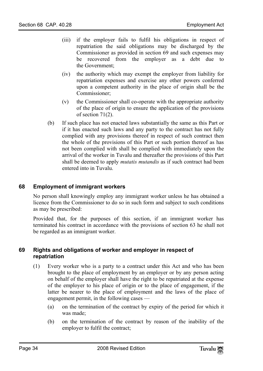- (iii) if the employer fails to fulfil his obligations in respect of repatriation the said obligations may be discharged by the Commissioner as provided in section 69 and such expenses may be recovered from the employer as a debt due to the Government;
- (iv) the authority which may exempt the employer from liability for repatriation expenses and exercise any other powers conferred upon a competent authority in the place of origin shall be the Commissioner;
- (v) the Commissioner shall co-operate with the appropriate authority of the place of origin to ensure the application of the provisions of section 71(2).
- <span id="page-33-0"></span>(b) If such place has not enacted laws substantially the same as this Part or if it has enacted such laws and any party to the contract has not fully complied with any provisions thereof in respect of such contract then the whole of the provisions of this Part or such portion thereof as has not been complied with shall be complied with immediately upon the arrival of the worker in Tuvalu and thereafter the provisions of this Part shall be deemed to apply *mutatis mutandis* as if such contract had been entered into in Tuvalu.

# **68 Employment of immigrant workers**

No person shall knowingly employ any immigrant worker unless he has obtained a licence from the Commissioner to do so in such form and subject to such conditions as may be prescribed:

<span id="page-33-1"></span>Provided that, for the purposes of this section, if an immigrant worker has terminated his contract in accordance with the provisions of section 63 he shall not be regarded as an immigrant worker.

# **69 Rights and obligations of worker and employer in respect of repatriation**

- (1) Every worker who is a party to a contract under this Act and who has been brought to the place of employment by an employer or by any person acting on behalf of the employer shall have the right to be repatriated at the expense of the employer to his place of origin or to the place of engagement, if the latter be nearer to the place of employment and the laws of the place of engagement permit, in the following cases —
	- (a) on the termination of the contract by expiry of the period for which it was made;
	- (b) on the termination of the contract by reason of the inability of the employer to fulfil the contract;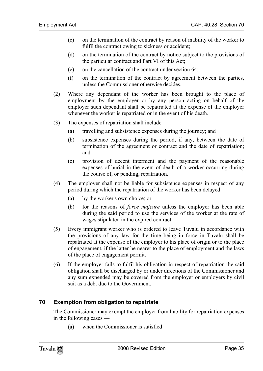- (c) on the termination of the contract by reason of inability of the worker to fulfil the contract owing to sickness or accident;
- (d) on the termination of the contract by notice subject to the provisions of the particular contract and Part VI of this Act;
- (e) on the cancellation of the contract under section 64;
- (f) on the termination of the contract by agreement between the parties, unless the Commissioner otherwise decides.
- (2) Where any dependant of the worker has been brought to the place of employment by the employer or by any person acting on behalf of the employer such dependant shall be repatriated at the expense of the employer whenever the worker is repatriated or in the event of his death.
- (3) The expenses of repatriation shall include
	- (a) travelling and subsistence expenses during the journey; and
	- (b) subsistence expenses during the period, if any, between the date of termination of the agreement or contract and the date of repatriation; and
	- (c) provision of decent interment and the payment of the reasonable expenses of burial in the event of death of a worker occurring during the course of, or pending, repatriation.
- (4) The employer shall not be liable for subsistence expenses in respect of any period during which the repatriation of the worker has been delayed —
	- (a) by the worker's own choice; or
	- (b) for the reasons of *force majeure* unless the employer has been able during the said period to use the services of the worker at the rate of wages stipulated in the expired contract.
- (5) Every immigrant worker who is ordered to leave Tuvalu in accordance with the provisions of any law for the time being in force in Tuvalu shall be repatriated at the expense of the employer to his place of origin or to the place of engagement, if the latter be nearer to the place of employment and the laws of the place of engagement permit.
- <span id="page-34-0"></span>(6) If the employer fails to fulfil his obligation in respect of repatriation the said obligation shall be discharged by or under directions of the Commissioner and any sum expended may be covered from the employer or employers by civil suit as a debt due to the Government.

#### **70 Exemption from obligation to repatriate**

The Commissioner may exempt the employer from liability for repatriation expenses in the following cases —

(a) when the Commissioner is satisfied —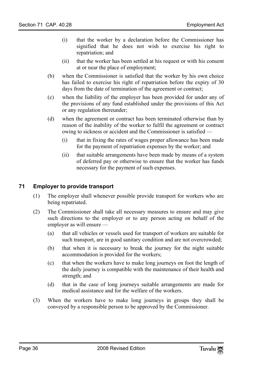- (i) that the worker by a declaration before the Commissioner has signified that he does not wish to exercise his right to repatriation; and
- (ii) that the worker has been settled at his request or with his consent at or near the place of employment;
- (b) when the Commissioner is satisfied that the worker by his own choice has failed to exercise his right of repatriation before the expiry of 30 days from the date of termination of the agreement or contract;
- (c) when the liability of the employer has been provided for under any of the provisions of any fund established under the provisions of this Act or any regulation thereunder;
- <span id="page-35-0"></span>(d) when the agreement or contract has been terminated otherwise than by reason of the inability of the worker to fulfil the agreement or contract owing to sickness or accident and the Commissioner is satisfied —
	- (i) that in fixing the rates of wages proper allowance has been made for the payment of repatriation expenses by the worker; and
	- (ii) that suitable arrangements have been made by means of a system of deferred pay or otherwise to ensure that the worker has funds necessary for the payment of such expenses.

# **71 Employer to provide transport**

- (1) The employer shall whenever possible provide transport for workers who are being repatriated.
- (2) The Commissioner shall take all necessary measures to ensure and may give such directions to the employer or to any person acting on behalf of the employer as will ensure —
	- (a) that all vehicles or vessels used for transport of workers are suitable for such transport, are in good sanitary condition and are not overcrowded;
	- (b) that when it is necessary to break the journey for the night suitable accommodation is provided for the workers;
	- (c) that when the workers have to make long journeys on foot the length of the daily journey is compatible with the maintenance of their health and strength; and
	- (d) that in the case of long journeys suitable arrangements are made for medical assistance and for the welfare of the workers.
- (3) When the workers have to make long journeys in groups they shall be conveyed by a responsible person to be approved by the Commissioner.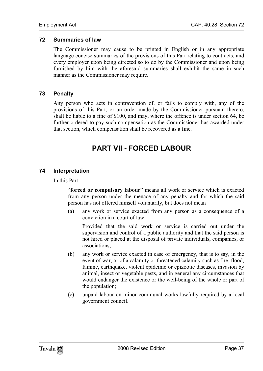# **72 Summaries of law**

<span id="page-36-1"></span><span id="page-36-0"></span>The Commissioner may cause to be printed in English or in any appropriate language concise summaries of the provisions of this Part relating to contracts, and every employer upon being directed so to do by the Commissioner and upon being furnished by him with the aforesaid summaries shall exhibit the same in such manner as the Commissioner may require.

# **73 Penalty**

Any person who acts in contravention of, or fails to comply with, any of the provisions of this Part, or an order made by the Commissioner pursuant thereto, shall be liable to a fine of \$100, and may, where the offence is under section 64, be further ordered to pay such compensation as the Commissioner has awarded under that section, which compensation shall be recovered as a fine.

# <span id="page-36-3"></span><span id="page-36-2"></span>**PART VII - FORCED LABOUR**

# **74 Interpretation**

In this Part —

"**forced or compulsory labour**" means all work or service which is exacted from any person under the menace of any penalty and for which the said person has not offered himself voluntarily, but does not mean —

(a) any work or service exacted from any person as a consequence of a conviction in a court of law:

Provided that the said work or service is carried out under the supervision and control of a public authority and that the said person is not hired or placed at the disposal of private individuals, companies, or associations;

- (b) any work or service exacted in case of emergency, that is to say, in the event of war, or of a calamity or threatened calamity such as fire, flood, famine, earthquake, violent epidemic or epizootic diseases, invasion by animal, insect or vegetable pests, and in general any circumstances that would endanger the existence or the well-being of the whole or part of the population;
- (c) unpaid labour on minor communal works lawfully required by a local government council.

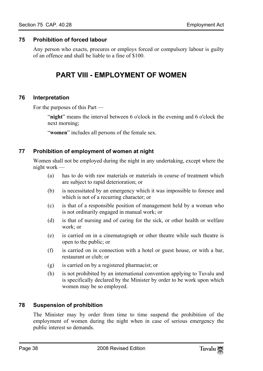# **75 Prohibition of forced labour**

<span id="page-37-0"></span>Any person who exacts, procures or employs forced or compulsory labour is guilty of an offence and shall be liable to a fine of \$100.

# <span id="page-37-2"></span><span id="page-37-1"></span>**PART VIII - EMPLOYMENT OF WOMEN**

# **76 Interpretation**

For the purposes of this Part —

<span id="page-37-3"></span>"**night**" means the interval between 6 o'clock in the evening and 6 o'clock the next morning;

"**women**" includes all persons of the female sex.

# **77 Prohibition of employment of women at night**

Women shall not be employed during the night in any undertaking, except where the night work —

- (a) has to do with raw materials or materials in course of treatment which are subject to rapid deterioration; or
- (b) is necessitated by an emergency which it was impossible to foresee and which is not of a recurring character; or
- (c) is that of a responsible position of management held by a woman who is not ordinarily engaged in manual work; or
- (d) is that of nursing and of caring for the sick, or other health or welfare work; or
- (e) is carried on in a cinematograph or other theatre while such theatre is open to the public; or
- (f) is carried on in connection with a hotel or guest house, or with a bar, restaurant or club; or
- (g) is carried on by a registered pharmacist; or
- <span id="page-37-4"></span>(h) is not prohibited by an international convention applying to Tuvalu and is specifically declared by the Minister by order to be work upon which women may be so employed.

# **78 Suspension of prohibition**

The Minister may by order from time to time suspend the prohibition of the employment of women during the night when in case of serious emergency the public interest so demands.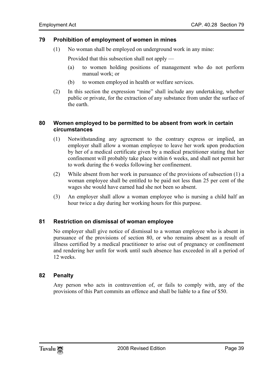# <span id="page-38-0"></span>**79 Prohibition of employment of women in mines**

(1) No woman shall be employed on underground work in any mine:

Provided that this subsection shall not apply —

- (a) to women holding positions of management who do not perform manual work; or
- <span id="page-38-1"></span>(b) to women employed in health or welfare services.
- (2) In this section the expression "mine" shall include any undertaking, whether public or private, for the extraction of any substance from under the surface of the earth.

# **80 Women employed to be permitted to be absent from work in certain circumstances**

- (1) Notwithstanding any agreement to the contrary express or implied, an employer shall allow a woman employee to leave her work upon production by her of a medical certificate given by a medical practitioner stating that her confinement will probably take place within 6 weeks, and shall not permit her to work during the 6 weeks following her confinement.
- (2) While absent from her work in pursuance of the provisions of subsection (1) a woman employee shall be entitled to be paid not less than 25 per cent of the wages she would have earned had she not been so absent.
- <span id="page-38-2"></span>(3) An employer shall allow a woman employee who is nursing a child half an hour twice a day during her working hours for this purpose.

# **81 Restriction on dismissal of woman employee**

<span id="page-38-3"></span>No employer shall give notice of dismissal to a woman employee who is absent in pursuance of the provisions of section 80, or who remains absent as a result of illness certified by a medical practitioner to arise out of pregnancy or confinement and rendering her unfit for work until such absence has exceeded in all a period of 12 weeks.

# **82 Penalty**

Any person who acts in contravention of, or fails to comply with, any of the provisions of this Part commits an offence and shall be liable to a fine of \$50.

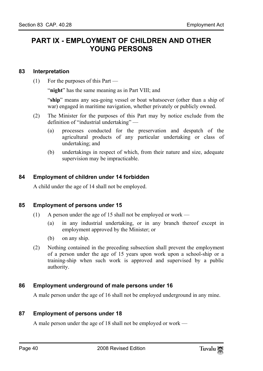# <span id="page-39-1"></span><span id="page-39-0"></span>**PART IX - EMPLOYMENT OF CHILDREN AND OTHER YOUNG PERSONS**

# **83 Interpretation**

(1) For the purposes of this Part —

"**night**" has the same meaning as in Part VIII; and

"**ship**" means any sea-going vessel or boat whatsoever (other than a ship of war) engaged in maritime navigation, whether privately or publicly owned.

- <span id="page-39-2"></span>(2) The Minister for the purposes of this Part may by notice exclude from the definition of "industrial undertaking" —
	- (a) processes conducted for the preservation and despatch of the agricultural products of any particular undertaking or class of undertaking; and
	- (b) undertakings in respect of which, from their nature and size, adequate supervision may be impracticable.

# **84 Employment of children under 14 forbidden**

<span id="page-39-3"></span>A child under the age of 14 shall not be employed.

# **85 Employment of persons under 15**

- (1) A person under the age of 15 shall not be employed or work
	- (a) in any industrial undertaking, or in any branch thereof except in employment approved by the Minister; or
	- (b) on any ship.
- <span id="page-39-4"></span>(2) Nothing contained in the preceding subsection shall prevent the employment of a person under the age of 15 years upon work upon a school-ship or a training-ship when such work is approved and supervised by a public authority.

# **86 Employment underground of male persons under 16**

<span id="page-39-5"></span>A male person under the age of 16 shall not be employed underground in any mine.

# **87 Employment of persons under 18**

A male person under the age of 18 shall not be employed or work —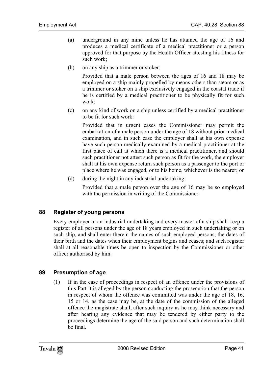- (a) underground in any mine unless he has attained the age of 16 and produces a medical certificate of a medical practitioner or a person approved for that purpose by the Health Officer attesting his fitness for such work;
- (b) on any ship as a trimmer or stoker:

Provided that a male person between the ages of 16 and 18 may be employed on a ship mainly propelled by means others than steam or as a trimmer or stoker on a ship exclusively engaged in the coastal trade if he is certified by a medical practitioner to be physically fit for such work;

(c) on any kind of work on a ship unless certified by a medical practitioner to be fit for such work:

Provided that in urgent cases the Commissioner may permit the embarkation of a male person under the age of 18 without prior medical examination, and in such case the employer shall at his own expense have such person medically examined by a medical practitioner at the first place of call at which there is a medical practitioner, and should such practitioner not attest such person as fit for the work, the employer shall at his own expense return such person as a passenger to the port or place where he was engaged, or to his home, whichever is the nearer; or

<span id="page-40-0"></span>(d) during the night in any industrial undertaking:

Provided that a male person over the age of 16 may be so employed with the permission in writing of the Commissioner.

# **88 Register of young persons**

<span id="page-40-1"></span>Every employer in an industrial undertaking and every master of a ship shall keep a register of all persons under the age of 18 years employed in such undertaking or on such ship, and shall enter therein the names of such employed persons, the dates of their birth and the dates when their employment begins and ceases; and such register shall at all reasonable times be open to inspection by the Commissioner or other officer authorised by him.

# **89 Presumption of age**

(1) If in the case of proceedings in respect of an offence under the provisions of this Part it is alleged by the person conducting the prosecution that the person in respect of whom the offence was committed was under the age of 18, 16, 15 or 14, as the case may be, at the date of the commission of the alleged offence the magistrate shall, after such inquiry as he may think necessary and after hearing any evidence that may be tendered by either party to the proceedings determine the age of the said person and such determination shall be final.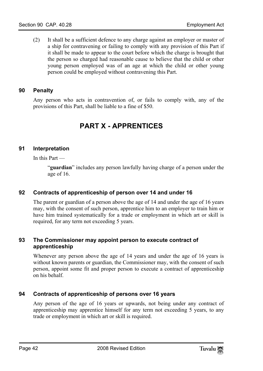<span id="page-41-0"></span>(2) It shall be a sufficient defence to any charge against an employer or master of a ship for contravening or failing to comply with any provision of this Part if it shall be made to appear to the court before which the charge is brought that the person so charged had reasonable cause to believe that the child or other young person employed was of an age at which the child or other young person could be employed without contravening this Part.

# **90 Penalty**

<span id="page-41-2"></span>Any person who acts in contravention of, or fails to comply with, any of the provisions of this Part, shall be liable to a fine of \$50.

# <span id="page-41-1"></span>**PART X - APPRENTICES**

# **91 Interpretation**

In this Part —

<span id="page-41-3"></span>"**guardian**" includes any person lawfully having charge of a person under the age of 16.

# **92 Contracts of apprenticeship of person over 14 and under 16**

<span id="page-41-4"></span>The parent or guardian of a person above the age of 14 and under the age of 16 years may, with the consent of such person, apprentice him to an employer to train him or have him trained systematically for a trade or employment in which art or skill is required, for any term not exceeding 5 years.

# **93 The Commissioner may appoint person to execute contract of apprenticeship**

<span id="page-41-5"></span>Whenever any person above the age of 14 years and under the age of 16 years is without known parents or guardian, the Commissioner may, with the consent of such person, appoint some fit and proper person to execute a contract of apprenticeship on his behalf.

# **94 Contracts of apprenticeship of persons over 16 years**

Any person of the age of 16 years or upwards, not being under any contract of apprenticeship may apprentice himself for any term not exceeding 5 years, to any trade or employment in which art or skill is required.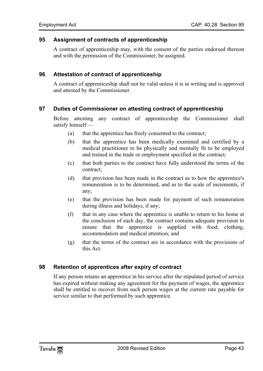# **95 Assignment of contracts of apprenticeship**

A contract of apprenticeship may, with the consent of the parties endorsed thereon and with the permission of the Commissioner, be assigned.

# **96 Attestation of contract of apprenticeship**

<span id="page-42-0"></span>A contract of apprenticeship shall not be valid unless it is in writing and is approved and attested by the Commissioner.

# **97 Duties of Commissioner on attesting contract of apprenticeship**

Before attesting any contract of apprenticeship the Commissioner shall satisfy himself —

- (a) that the apprentice has freely consented to the contract;
- (b) that the apprentice has been medically examined and certified by a medical practitioner to be physically and mentally fit to be employed and trained in the trade or employment specified in the contract;
- (c) that both parties to the contract have fully understood the terms of the contract;
- (d) that provision has been made in the contract as to how the apprentice's remuneration is to be determined, and as to the scale of increments, if any;
- (e) that the provision has been made for payment of such remuneration during illness and holidays, if any;
- (f) that in any case where the apprentice is unable to return to his home at the conclusion of each day, the contract contains adequate provision to ensure that the apprentice is supplied with food, clothing, accommodation and medical attention; and
- <span id="page-42-1"></span>(g) that the terms of the contract are in accordance with the provisions of this Act.

# **98 Retention of apprentices after expiry of contract**

If any person retains an apprentice in his service after the stipulated period of service has expired without making any agreement for the payment of wages, the apprentice shall be entitled to recover from such person wages at the current rate payable for service similar to that performed by such apprentice.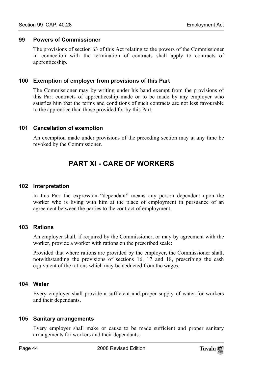#### **99 Powers of Commissioner**

<span id="page-43-0"></span>The provisions of section 63 of this Act relating to the powers of the Commissioner in connection with the termination of contracts shall apply to contracts of apprenticeship.

#### **100 Exemption of employer from provisions of this Part**

<span id="page-43-1"></span>The Commissioner may by writing under his hand exempt from the provisions of this Part contracts of apprenticeship made or to be made by any employer who satisfies him that the terms and conditions of such contracts are not less favourable to the apprentice than those provided for by this Part.

#### **101 Cancellation of exemption**

An exemption made under provisions of the preceding section may at any time be revoked by the Commissioner.

# <span id="page-43-3"></span><span id="page-43-2"></span>**PART XI - CARE OF WORKERS**

#### **102 Interpretation**

<span id="page-43-4"></span>In this Part the expression "dependant" means any person dependent upon the worker who is living with him at the place of employment in pursuance of an agreement between the parties to the contract of employment.

# **103 Rations**

An employer shall, if required by the Commissioner, or may by agreement with the worker, provide a worker with rations on the prescribed scale:

<span id="page-43-5"></span>Provided that where rations are provided by the employer, the Commissioner shall, notwithstanding the provisions of sections 16, 17 and 18, prescribing the cash equivalent of the rations which may be deducted from the wages.

# **104 Water**

<span id="page-43-6"></span>Every employer shall provide a sufficient and proper supply of water for workers and their dependants.

# **105 Sanitary arrangements**

Every employer shall make or cause to be made sufficient and proper sanitary arrangements for workers and their dependants.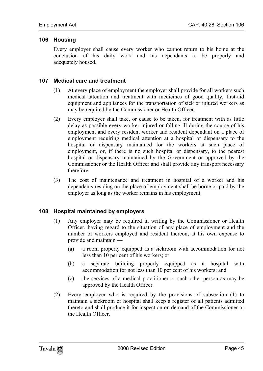# <span id="page-44-0"></span>**106 Housing**

<span id="page-44-1"></span>Every employer shall cause every worker who cannot return to his home at the conclusion of his daily work and his dependants to be properly and adequately housed.

# **107 Medical care and treatment**

- (1) At every place of employment the employer shall provide for all workers such medical attention and treatment with medicines of good quality, first-aid equipment and appliances for the transportation of sick or injured workers as may be required by the Commissioner or Health Officer.
- (2) Every employer shall take, or cause to be taken, for treatment with as little delay as possible every worker injured or falling ill during the course of his employment and every resident worker and resident dependant on a place of employment requiring medical attention at a hospital or dispensary to the hospital or dispensary maintained for the workers at such place of employment, or, if there is no such hospital or dispensary, to the nearest hospital or dispensary maintained by the Government or approved by the Commissioner or the Health Officer and shall provide any transport necessary therefore.
- <span id="page-44-2"></span>(3) The cost of maintenance and treatment in hospital of a worker and his dependants residing on the place of employment shall be borne or paid by the employer as long as the worker remains in his employment.

# **108 Hospital maintained by employers**

- (1) Any employer may be required in writing by the Commissioner or Health Officer, having regard to the situation of any place of employment and the number of workers employed and resident thereon, at his own expense to provide and maintain —
	- (a) a room properly equipped as a sickroom with accommodation for not less than 10 per cent of his workers; or
	- (b) a separate building properly equipped as a hospital with accommodation for not less than 10 per cent of his workers; and
	- (c) the services of a medical practitioner or such other person as may be approved by the Health Officer.
- (2) Every employer who is required by the provisions of subsection (1) to maintain a sickroom or hospital shall keep a register of all patients admitted thereto and shall produce it for inspection on demand of the Commissioner or the Health Officer.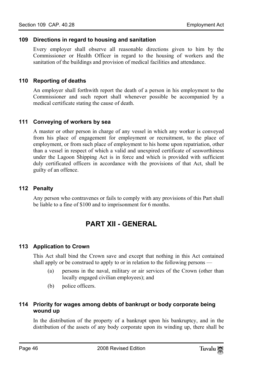# <span id="page-45-0"></span>**109 Directions in regard to housing and sanitation**

<span id="page-45-1"></span>Every employer shall observe all reasonable directions given to him by the Commissioner or Health Officer in regard to the housing of workers and the sanitation of the buildings and provision of medical facilities and attendance.

# **110 Reporting of deaths**

<span id="page-45-2"></span>An employer shall forthwith report the death of a person in his employment to the Commissioner and such report shall whenever possible be accompanied by a medical certificate stating the cause of death.

# **111 Conveying of workers by sea**

<span id="page-45-3"></span>A master or other person in charge of any vessel in which any worker is conveyed from his place of engagement for employment or recruitment, to the place of employment, or from such place of employment to his home upon repatriation, other than a vessel in respect of which a valid and unexpired certificate of seaworthiness under the Lagoon Shipping Act is in force and which is provided with sufficient duly certificated officers in accordance with the provisions of that Act, shall be guilty of an offence.

# **112 Penalty**

<span id="page-45-5"></span>Any person who contravenes or fails to comply with any provisions of this Part shall be liable to a fine of \$100 and to imprisonment for 6 months.

# <span id="page-45-4"></span>**PART XII - GENERAL**

# **113 Application to Crown**

This Act shall bind the Crown save and except that nothing in this Act contained shall apply or be construed to apply to or in relation to the following persons —

- <span id="page-45-6"></span>(a) persons in the naval, military or air services of the Crown (other than locally engaged civilian employees); and
- (b) police officers.

# **114 Priority for wages among debts of bankrupt or body corporate being wound up**

In the distribution of the property of a bankrupt upon his bankruptcy, and in the distribution of the assets of any body corporate upon its winding up, there shall be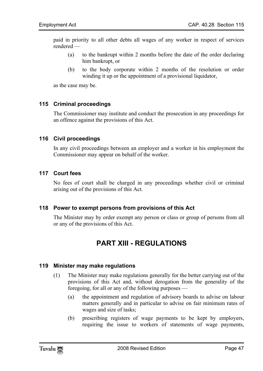paid in priority to all other debts all wages of any worker in respect of services rendered —

- (a) to the bankrupt within 2 months before the date of the order declaring him bankrupt, or
- <span id="page-46-0"></span>(b) to the body corporate within 2 months of the resolution or order winding it up or the appointment of a provisional liquidator,

as the case may be.

#### **115 Criminal proceedings**

<span id="page-46-1"></span>The Commissioner may institute and conduct the prosecution in any proceedings for an offence against the provisions of this Act.

#### **116 Civil proceedings**

<span id="page-46-2"></span>In any civil proceedings between an employer and a worker in his employment the Commissioner may appear on behalf of the worker.

#### **117 Court fees**

<span id="page-46-3"></span>No fees of court shall be charged in any proceedings whether civil or criminal arising out of the provisions of this Act.

#### **118 Power to exempt persons from provisions of this Act**

<span id="page-46-5"></span>The Minister may by order exempt any person or class or group of persons from all or any of the provisions of this Act.

# <span id="page-46-4"></span>**PART XIII - REGULATIONS**

#### **119 Minister may make regulations**

- (1) The Minister may make regulations generally for the better carrying out of the provisions of this Act and, without derogation from the generality of the foregoing, for all or any of the following purposes —
	- (a) the appointment and regulation of advisory boards to advise on labour matters generally and in particular to advise on fair minimum rates of wages and size of tasks;
	- (b) prescribing registers of wage payments to be kept by employers, requiring the issue to workers of statements of wage payments,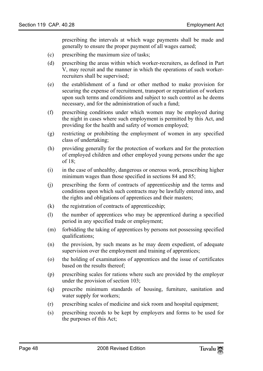prescribing the intervals at which wage payments shall be made and generally to ensure the proper payment of all wages earned;

- (c) prescribing the maximum size of tasks;
- (d) prescribing the areas within which worker-recruiters, as defined in Part V, may recruit and the manner in which the operations of such workerrecruiters shall be supervised;
- (e) the establishment of a fund or other method to make provision for securing the expense of recruitment, transport or repatriation of workers upon such terms and conditions and subject to such control as he deems necessary, and for the administration of such a fund;
- (f) prescribing conditions under which women may be employed during the night in cases where such employment is permitted by this Act, and providing for the health and safety of women employed;
- (g) restricting or prohibiting the employment of women in any specified class of undertaking;
- (h) providing generally for the protection of workers and for the protection of employed children and other employed young persons under the age of 18;
- (i) in the case of unhealthy, dangerous or onerous work, prescribing higher minimum wages than those specified in sections 84 and 85;
- (j) prescribing the form of contracts of apprenticeship and the terms and conditions upon which such contracts may be lawfully entered into, and the rights and obligations of apprentices and their masters;
- (k) the registration of contracts of apprenticeship;
- (l) the number of apprentices who may be apprenticed during a specified period in any specified trade or employment;
- (m) forbidding the taking of apprentices by persons not possessing specified qualifications;
- (n) the provision, by such means as he may deem expedient, of adequate supervision over the employment and training of apprentices;
- (o) the holding of examinations of apprentices and the issue of certificates based on the results thereof;
- (p) prescribing scales for rations where such are provided by the employer under the provision of section 103;
- (q) prescribe minimum standards of housing, furniture, sanitation and water supply for workers;
- (r) prescribing scales of medicine and sick room and hospital equipment;
- (s) prescribing records to be kept by employers and forms to be used for the purposes of this Act;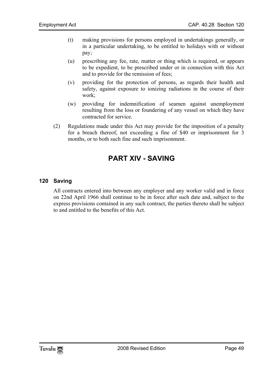- (t) making provisions for persons employed in undertakings generally, or in a particular undertaking, to be entitled to holidays with or without pay;
- (u) prescribing any fee, rate, matter or thing which is required, or appears to be expedient, to be prescribed under or in connection with this Act and to provide for the remission of fees;
- (v) providing for the protection of persons, as regards their health and safety, against exposure to ionizing radiations in the course of their work;
- (w) providing for indemnification of seamen against unemployment resulting from the loss or foundering of any vessel on which they have contracted for service.
- <span id="page-48-1"></span>(2) Regulations made under this Act may provide for the imposition of a penalty for a breach thereof, not exceeding a fine of \$40 or imprisonment for 3 months, or to both such fine and such imprisonment.

# <span id="page-48-0"></span>**PART XIV - SAVING**

# **120 Saving**

All contracts entered into between any employer and any worker valid and in force on 22nd April 1966 shall continue to be in force after such date and, subject to the express provisions contained in any such contract, the parties thereto shall be subject to and entitled to the benefits of this Act.